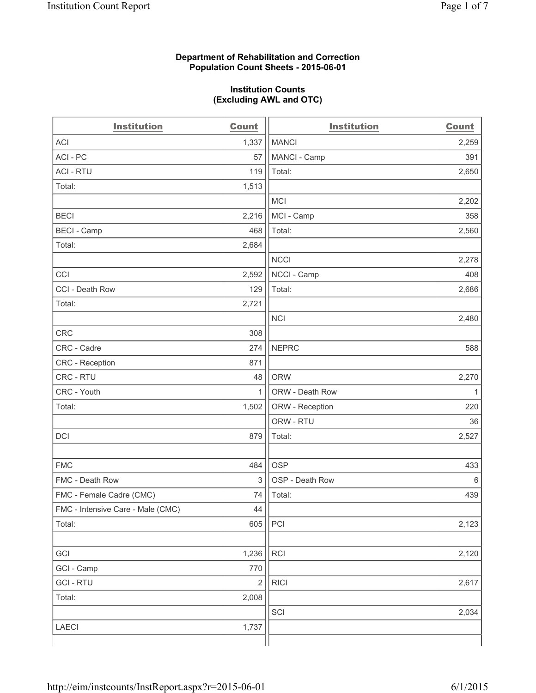## **Department of Rehabilitation and Correction Population Count Sheets - 2015-06-01**

## **Institution Counts (Excluding AWL and OTC)**

| <b>Institution</b>                | <b>Count</b>            | <b>Institution</b> | <b>Count</b> |
|-----------------------------------|-------------------------|--------------------|--------------|
| <b>ACI</b>                        | 1,337                   | <b>MANCI</b>       | 2,259        |
| ACI-PC                            | 57                      | MANCI - Camp       | 391          |
| <b>ACI - RTU</b>                  | 119                     | Total:             | 2,650        |
| Total:                            | 1,513                   |                    |              |
|                                   |                         | <b>MCI</b>         | 2,202        |
| <b>BECI</b>                       | 2,216                   | MCI - Camp         | 358          |
| <b>BECI</b> - Camp                | 468                     | Total:             | 2,560        |
| Total:                            | 2,684                   |                    |              |
|                                   |                         | <b>NCCI</b>        | 2,278        |
| CCI                               | 2,592                   | NCCI - Camp        | 408          |
| CCI - Death Row                   | 129                     | Total:             | 2,686        |
| Total:                            | 2,721                   |                    |              |
|                                   |                         | <b>NCI</b>         | 2,480        |
| <b>CRC</b>                        | 308                     |                    |              |
| CRC - Cadre                       | 274                     | <b>NEPRC</b>       | 588          |
| CRC - Reception                   | 871                     |                    |              |
| CRC - RTU                         | 48                      | <b>ORW</b>         | 2,270        |
| CRC - Youth                       | $\mathbf{1}$            | ORW - Death Row    | 1            |
| Total:                            | 1,502                   | ORW - Reception    | 220          |
|                                   |                         | ORW - RTU          | 36           |
| DCI                               | 879                     | Total:             | 2,527        |
|                                   |                         |                    |              |
| <b>FMC</b>                        | 484                     | <b>OSP</b>         | 433          |
| FMC - Death Row                   | 3                       | OSP - Death Row    | 6            |
| FMC - Female Cadre (CMC)          | 74                      | Total:             | 439          |
| FMC - Intensive Care - Male (CMC) | 44                      |                    |              |
| Total:                            | 605                     | PCI                | 2,123        |
|                                   |                         |                    |              |
| GCI                               | 1,236                   | <b>RCI</b>         | 2,120        |
| GCI - Camp                        | 770                     |                    |              |
| <b>GCI-RTU</b>                    | $\overline{\mathbf{c}}$ | <b>RICI</b>        | 2,617        |
| Total:                            | 2,008                   |                    |              |
|                                   |                         | SCI                | 2,034        |
| <b>LAECI</b>                      | 1,737                   |                    |              |
|                                   |                         |                    |              |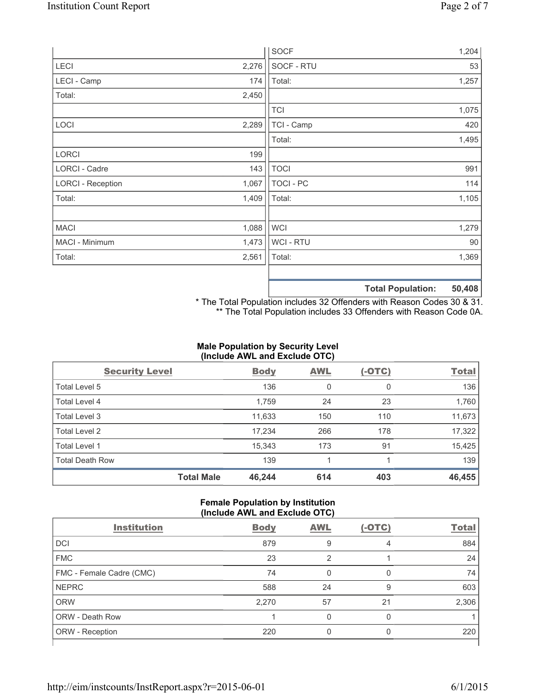|                          |       | <b>SOCF</b>    | 1,204                                     |
|--------------------------|-------|----------------|-------------------------------------------|
| <b>LECI</b>              | 2,276 | SOCF - RTU     | 53                                        |
| LECI - Camp              | 174   | Total:         | 1,257                                     |
| Total:                   | 2,450 |                |                                           |
|                          |       | <b>TCI</b>     | 1,075                                     |
| LOCI                     | 2,289 | TCI - Camp     | 420                                       |
|                          |       | Total:         | 1,495                                     |
| <b>LORCI</b>             | 199   |                |                                           |
| LORCI - Cadre            | 143   | <b>TOCI</b>    | 991                                       |
| <b>LORCI - Reception</b> | 1,067 | TOCI - PC      | 114                                       |
| Total:                   | 1,409 | Total:         | 1,105                                     |
|                          |       |                |                                           |
| <b>MACI</b>              | 1,088 | <b>WCI</b>     | 1,279                                     |
| MACI - Minimum           | 1,473 | <b>WCI-RTU</b> | 90                                        |
| Total:                   | 2,561 | Total:         | 1,369                                     |
|                          |       |                |                                           |
|                          |       |                | <b>50 408</b><br><b>Total Donulation:</b> |

**Total Population: 50,408**

\* The Total Population includes 32 Offenders with Reason Codes 30 & 31. \*\* The Total Population includes 33 Offenders with Reason Code 0A.

# **Male Population by Security Level (Include AWL and Exclude OTC)**

| <b>Security Level</b>  |                   | <b>Body</b> | <b>AWL</b> | $(-OTC)$ | <b>Total</b> |
|------------------------|-------------------|-------------|------------|----------|--------------|
| Total Level 5          |                   | 136         | 0          | 0        | 136          |
| Total Level 4          |                   | 1,759       | 24         | 23       | 1,760        |
| Total Level 3          |                   | 11,633      | 150        | 110      | 11,673       |
| Total Level 2          |                   | 17,234      | 266        | 178      | 17,322       |
| Total Level 1          |                   | 15,343      | 173        | 91       | 15,425       |
| <b>Total Death Row</b> |                   | 139         |            |          | 139          |
|                        | <b>Total Male</b> | 46,244      | 614        | 403      | 46,455       |

## **Female Population by Institution (Include AWL and Exclude OTC)**

|                          | .           |            |          |              |  |
|--------------------------|-------------|------------|----------|--------------|--|
| <b>Institution</b>       | <b>Body</b> | <b>AWL</b> | $(-OTC)$ | <b>Total</b> |  |
| DCI                      | 879         | 9          | 4        | 884          |  |
| <b>FMC</b>               | 23          | 2          |          | 24           |  |
| FMC - Female Cadre (CMC) | 74          | 0          | 0        | 74           |  |
| <b>NEPRC</b>             | 588         | 24         | 9        | 603          |  |
| <b>ORW</b>               | 2,270       | 57         | 21       | 2,306        |  |
| <b>ORW - Death Row</b>   |             | U          | 0        |              |  |
| ORW - Reception          | 220         |            | 0        | 220          |  |
|                          |             |            |          |              |  |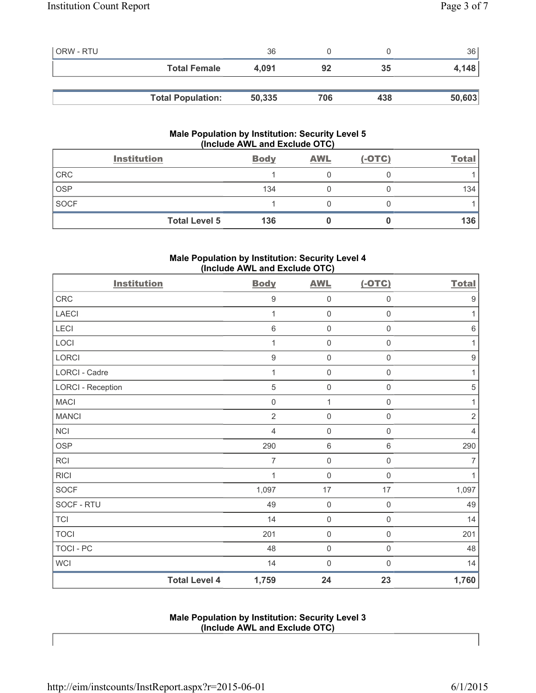| <b>ORW - RTU</b> |                          | 36     |     |     | 36     |
|------------------|--------------------------|--------|-----|-----|--------|
|                  | <b>Total Female</b>      | 4.091  | 92  | 35  | 4,148  |
|                  |                          |        |     |     |        |
|                  | <b>Total Population:</b> | 50,335 | 706 | 438 | 50,603 |

# **Male Population by Institution: Security Level 5 (Include AWL and Exclude OTC)**

|             | <b>Institution</b>   | <b>Body</b> | <b>AWL</b> | $(-OTC)$ | Total |
|-------------|----------------------|-------------|------------|----------|-------|
| CRC         |                      |             |            |          |       |
| <b>OSP</b>  |                      | 134         |            |          | 134   |
| <b>SOCF</b> |                      |             |            |          |       |
|             | <b>Total Level 5</b> | 136         |            |          | 136   |

# **Male Population by Institution: Security Level 4 (Include AWL and Exclude OTC)**

| <b>Institution</b> |                      | <b>Body</b>      | <b>AWL</b>          | $(-OTC)$            | <b>Total</b>     |
|--------------------|----------------------|------------------|---------------------|---------------------|------------------|
| CRC                |                      | $\boldsymbol{9}$ | $\mathbf 0$         | $\mathsf{O}\xspace$ | $\boldsymbol{9}$ |
| <b>LAECI</b>       |                      | 1                | $\mathbf 0$         | $\mathsf{O}\xspace$ | 1                |
| LECI               |                      | $\,6\,$          | $\mathbf 0$         | $\mathsf{O}\xspace$ | $\,6\,$          |
| LOCI               |                      | 1                | $\mathbf 0$         | $\mathsf{O}\xspace$ | $\mathbf{1}$     |
| LORCI              |                      | $\boldsymbol{9}$ | $\mathbf 0$         | $\mathsf{O}\xspace$ | $\boldsymbol{9}$ |
| LORCI - Cadre      |                      | 1                | $\mathbf 0$         | $\mathsf{O}\xspace$ | 1                |
| LORCI - Reception  |                      | $\sqrt{5}$       | $\mathbf 0$         | $\mathsf{O}\xspace$ | $\sqrt{5}$       |
| <b>MACI</b>        |                      | $\mathbf 0$      | $\mathbf{1}$        | $\mathsf 0$         | 1                |
| <b>MANCI</b>       |                      | $\overline{2}$   | $\mathbf 0$         | $\mathsf{O}\xspace$ | $\sqrt{2}$       |
| NCI                |                      | $\overline{4}$   | $\mathbf 0$         | $\mathsf{O}\xspace$ | $\overline{4}$   |
| <b>OSP</b>         |                      | 290              | $6\,$               | 6                   | 290              |
| <b>RCI</b>         |                      | 7                | $\mathbf 0$         | $\mathsf{O}\xspace$ | $\overline{7}$   |
| <b>RICI</b>        |                      | 1                | $\mathbf 0$         | $\mathsf{O}\xspace$ | $\mathbf{1}$     |
| SOCF               |                      | 1,097            | 17                  | 17                  | 1,097            |
| SOCF - RTU         |                      | 49               | $\mathbf 0$         | $\mathsf{O}\xspace$ | 49               |
| <b>TCI</b>         |                      | 14               | $\mathbf 0$         | $\mathsf{O}\xspace$ | 14               |
| <b>TOCI</b>        |                      | 201              | $\mathsf 0$         | $\mathsf{O}\xspace$ | 201              |
| <b>TOCI - PC</b>   |                      | 48               | $\mathsf{O}\xspace$ | $\mathsf{O}\xspace$ | 48               |
| <b>WCI</b>         |                      | 14               | $\mathbf 0$         | $\mathsf{O}\xspace$ | 14               |
|                    | <b>Total Level 4</b> | 1,759            | 24                  | 23                  | 1,760            |

**Male Population by Institution: Security Level 3 (Include AWL and Exclude OTC)**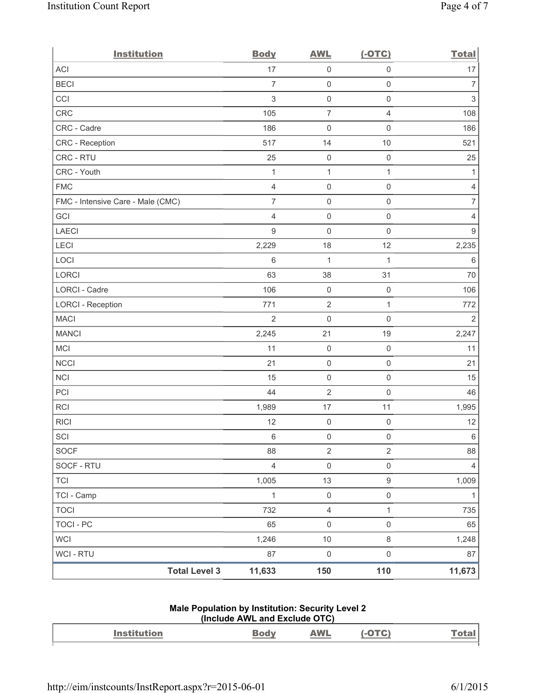| <b>Institution</b>                | <b>Body</b>    | <b>AWL</b>          | $(-OTC)$            | <b>Total</b>   |
|-----------------------------------|----------------|---------------------|---------------------|----------------|
| ACI                               | 17             | $\mathsf{O}\xspace$ | $\mathsf 0$         | 17             |
| <b>BECI</b>                       | $\overline{7}$ | $\mathsf{O}\xspace$ | $\mathsf{O}\xspace$ | $\overline{7}$ |
| CCI                               | $\sqrt{3}$     | $\mathsf{O}\xspace$ | $\mathsf 0$         | 3              |
| CRC                               | 105            | $\overline{7}$      | $\overline{4}$      | 108            |
| CRC - Cadre                       | 186            | $\mathsf{O}\xspace$ | $\mathsf 0$         | 186            |
| CRC - Reception                   | 517            | 14                  | 10                  | 521            |
| CRC - RTU                         | 25             | $\mathbf 0$         | $\mathsf 0$         | 25             |
| CRC - Youth                       | $\mathbf{1}$   | $\mathbf 1$         | $\mathbf{1}$        | 1              |
| <b>FMC</b>                        | $\overline{4}$ | $\mathsf{O}\xspace$ | $\mathsf{O}\xspace$ | 4              |
| FMC - Intensive Care - Male (CMC) | $\overline{7}$ | $\mathsf{O}\xspace$ | $\mathsf 0$         | $\overline{7}$ |
| GCI                               | $\overline{4}$ | $\mathsf{O}\xspace$ | $\mathsf{O}\xspace$ | 4              |
| <b>LAECI</b>                      | $9\,$          | $\mathbf 0$         | $\mathbf 0$         | 9              |
| LECI                              | 2,229          | 18                  | 12                  | 2,235          |
| LOCI                              | $\,6\,$        | 1                   | $\mathbf{1}$        | $\,6\,$        |
| <b>LORCI</b>                      | 63             | 38                  | 31                  | 70             |
| LORCI - Cadre                     | 106            | $\mathsf{O}\xspace$ | $\mathsf{O}\xspace$ | 106            |
| <b>LORCI - Reception</b>          | 771            | $\overline{2}$      | $\mathbf{1}$        | 772            |
| <b>MACI</b>                       | $\overline{2}$ | $\mathsf{O}\xspace$ | $\mathsf 0$         | $\overline{2}$ |
| <b>MANCI</b>                      | 2,245          | 21                  | 19                  | 2,247          |
| MCI                               | 11             | $\mathsf{O}\xspace$ | $\mathsf 0$         | 11             |
| <b>NCCI</b>                       | 21             | $\mathsf{O}\xspace$ | $\mathsf{O}\xspace$ | 21             |
| NCI                               | 15             | $\mathsf{O}\xspace$ | $\mathsf 0$         | 15             |
| PCI                               | 44             | $\sqrt{2}$          | $\mathsf 0$         | 46             |
| RCI                               | 1,989          | 17                  | 11                  | 1,995          |
| <b>RICI</b>                       | 12             | $\boldsymbol{0}$    | $\mathsf 0$         | 12             |
| SCI                               | 6              | $\mathsf 0$         | $\mathsf 0$         | 6              |
| <b>SOCF</b>                       | 88             | $\overline{2}$      | $\overline{2}$      | 88             |
| SOCF - RTU                        | $\overline{4}$ | $\mathsf 0$         | $\mathsf{O}\xspace$ | $\overline{4}$ |
| <b>TCI</b>                        | 1,005          | 13                  | $\boldsymbol{9}$    | 1,009          |
| TCI - Camp                        | $\mathbf{1}$   | $\mathsf{O}\xspace$ | $\mathsf{O}\xspace$ | $\mathbf{1}$   |
| <b>TOCI</b>                       | 732            | $\overline{4}$      | $\mathbf{1}$        | 735            |
| <b>TOCI - PC</b>                  | 65             | $\mathsf{O}\xspace$ | $\mathsf{O}\xspace$ | 65             |
| WCI                               | 1,246          | 10                  | $\,8\,$             | 1,248          |
| WCI - RTU                         | 87             | $\mathsf{O}\xspace$ | $\mathsf{O}\xspace$ | 87             |
| <b>Total Level 3</b>              | 11,633         | 150                 | 110                 | 11,673         |

#### **Male Population by Institution: Security Level 2 (Include AWL and Exclude OTC)**

| Institution | – – – – | <b>MALL</b><br>AVV II. | LG I |
|-------------|---------|------------------------|------|
|             |         |                        |      |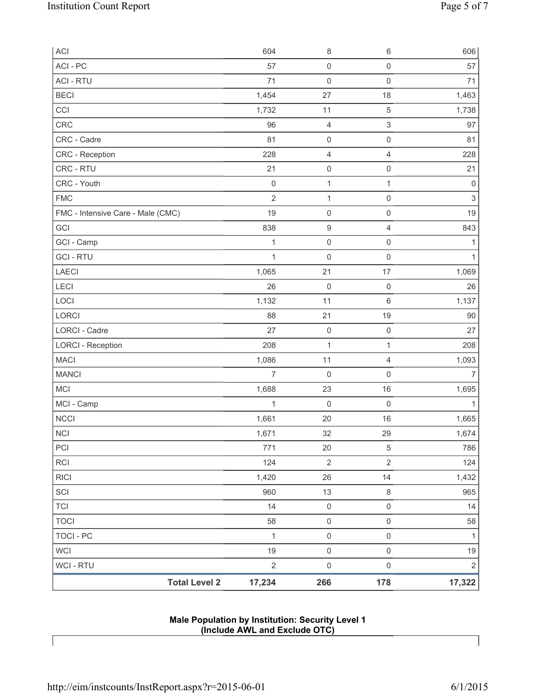| <b>Total Level 2</b>              | 17,234            | 266                                | 178                         | 17,322            |
|-----------------------------------|-------------------|------------------------------------|-----------------------------|-------------------|
| WCI - RTU                         | $\overline{2}$    | $\mathsf{O}\xspace$                | $\mathsf 0$                 | $\sqrt{2}$        |
| <b>WCI</b>                        | 19                | $\mathsf 0$                        | $\mathsf 0$                 | 19                |
| <b>TOCI - PC</b>                  | $\mathbf{1}$      | $\mathsf{O}\xspace$                | $\mathsf 0$                 | $\mathbf{1}$      |
| <b>TOCI</b>                       | 58                | $\mathsf 0$                        | $\mathsf 0$                 | 58                |
| <b>TCI</b>                        | 14                | $\mathsf{O}\xspace$                | $\mathsf 0$                 | 14                |
| SCI                               | 960               | 13                                 | $\,8\,$                     | 965               |
| <b>RICI</b>                       | 1,420             | 26                                 | 14                          | 1,432             |
| RCI                               | 124               | $\mathbf 2$                        | $\overline{2}$              | 124               |
| PCI                               | 771               | 20                                 | 5                           | 786               |
| <b>NCI</b>                        | 1,671             | 32                                 | 29                          | 1,674             |
| <b>NCCI</b>                       | 1,661             | 20                                 | 16                          | 1,665             |
| MCI - Camp                        | 1                 | $\mathsf{O}\xspace$                | $\mathsf 0$                 | 1                 |
| <b>MCI</b>                        | 1,688             | 23                                 | 16                          | 1,695             |
| <b>MANCI</b>                      | $\overline{7}$    | 0                                  | $\mathsf 0$                 | $\overline{7}$    |
| <b>MACI</b>                       | 1,086             | 11                                 | $\overline{4}$              | 1,093             |
| <b>LORCI - Reception</b>          | 208               | $\mathbf{1}$                       | $\mathbf{1}$                | 208               |
| LORCI - Cadre                     | 27                | $\mathsf{O}\xspace$                | $\mathsf{O}\xspace$         | 27                |
| LORCI                             | 88                | 21                                 | 19                          | 90                |
| LOCI                              | 1,132             | 11                                 | $\,6\,$                     | 1,137             |
| LECI                              | 26                | $\mathsf{O}\xspace$                | $\mathsf 0$                 | 26                |
| LAECI                             | 1,065             | 21                                 | 17                          | 1,069             |
| <b>GCI-RTU</b>                    | $\mathbf{1}$      | $\boldsymbol{0}$                   | $\mathsf 0$                 | 1                 |
| GCI - Camp                        | $\mathbf 1$       | $\mathsf{O}\xspace$                | $\mathsf 0$                 | 1                 |
| GCI                               | 838               | 9                                  | $\overline{4}$              | 843               |
| FMC - Intensive Care - Male (CMC) | 19                | $\mathsf 0$                        | $\mathsf 0$                 | 19                |
| <b>FMC</b>                        | $\overline{2}$    | $\mathbf{1}$                       | $\mathsf 0$                 | $\mathfrak{S}$    |
| CRC - RTU<br>CRC - Youth          | 21<br>$\mathbf 0$ | $\mathsf{O}\xspace$<br>$\mathbf 1$ | $\mathsf 0$<br>$\mathbf{1}$ | 21<br>$\mathbf 0$ |
| CRC - Reception                   | 228               | 4                                  | $\overline{4}$              | 228               |
| CRC - Cadre                       | 81                | $\mathsf 0$                        | $\mathsf 0$                 | 81                |
| CRC                               | 96                | 4                                  | $\ensuremath{\mathsf{3}}$   | 97                |
| CCI                               | 1,732             | 11                                 | $\sqrt{5}$                  | 1,738             |
| <b>BECI</b>                       | 1,454             | 27                                 | 18                          | 1,463             |
| <b>ACI - RTU</b>                  | 71                | $\mathbf 0$                        | $\mathsf 0$                 | 71                |
| ACI - PC                          | 57                | $\mathsf 0$                        | $\mathsf{O}\xspace$         | 57                |
| <b>ACI</b>                        | 604               | 8                                  | $\,6\,$                     | 606               |
|                                   |                   |                                    |                             |                   |

**Male Population by Institution: Security Level 1 (Include AWL and Exclude OTC)**